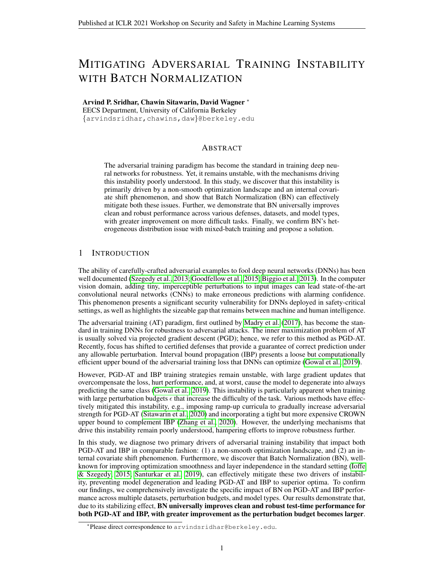# MITIGATING ADVERSARIAL TRAINING INSTABILITY WITH BATCH NORMALIZATION

Arvind P. Sridhar, Chawin Sitawarin, David Wagner <sup>∗</sup> EECS Department, University of California Berkeley {arvindsridhar,chawins,daw}@berkeley.edu

# ABSTRACT

The adversarial training paradigm has become the standard in training deep neural networks for robustness. Yet, it remains unstable, with the mechanisms driving this instability poorly understood. In this study, we discover that this instability is primarily driven by a non-smooth optimization landscape and an internal covariate shift phenomenon, and show that Batch Normalization (BN) can effectively mitigate both these issues. Further, we demonstrate that BN universally improves clean and robust performance across various defenses, datasets, and model types, with greater improvement on more difficult tasks. Finally, we confirm BN's heterogeneous distribution issue with mixed-batch training and propose a solution.

# 1 INTRODUCTION

The ability of carefully-crafted adversarial examples to fool deep neural networks (DNNs) has been well documented [\(Szegedy et al., 2013;](#page-5-0) [Goodfellow et al., 2015;](#page-4-0) [Biggio et al., 2013\)](#page-4-1). In the computer vision domain, adding tiny, imperceptible perturbations to input images can lead state-of-the-art convolutional neural networks (CNNs) to make erroneous predictions with alarming confidence. This phenomenon presents a significant security vulnerability for DNNs deployed in safety-critical settings, as well as highlights the sizeable gap that remains between machine and human intelligence.

The adversarial training (AT) paradigm, first outlined by [Madry et al.](#page-5-1) [\(2017\)](#page-5-1), has become the standard in training DNNs for robustness to adversarial attacks. The inner maximization problem of AT is usually solved via projected gradient descent (PGD); hence, we refer to this method as PGD-AT. Recently, focus has shifted to certified defenses that provide a guarantee of correct prediction under any allowable perturbation. Interval bound propagation (IBP) presents a loose but computationally efficient upper bound of the adversarial training loss that DNNs can optimize [\(Gowal et al., 2019\)](#page-4-2).

However, PGD-AT and IBP training strategies remain unstable, with large gradient updates that overcompensate the loss, hurt performance, and, at worst, cause the model to degenerate into always predicting the same class [\(Gowal et al., 2019\)](#page-4-2). This instability is particularly apparent when training with large perturbation budgets  $\epsilon$  that increase the difficulty of the task. Various methods have effectively mitigated this instability, e.g., imposing ramp-up curricula to gradually increase adversarial strength for PGD-AT [\(Sitawarin et al., 2020\)](#page-5-2) and incorporating a tight but more expensive CROWN upper bound to complement IBP [\(Zhang et al., 2020\)](#page-5-3). However, the underlying mechanisms that drive this instability remain poorly understood, hampering efforts to improve robustness further.

In this study, we diagnose two primary drivers of adversarial training instability that impact both PGD-AT and IBP in comparable fashion: (1) a non-smooth optimization landscape, and (2) an internal covariate shift phenomenon. Furthermore, we discover that Batch Normalization (BN), wellknown for improving optimization smoothness and layer independence in the standard setting [\(Ioffe](#page-4-3) [& Szegedy, 2015;](#page-4-3) [Santurkar et al., 2019\)](#page-5-4), can effectively mitigate these two drivers of instability, preventing model degeneration and leading PGD-AT and IBP to superior optima. To confirm our findings, we comprehensively investigate the specific impact of BN on PGD-AT and IBP performance across multiple datasets, perturbation budgets, and model types. Our results demonstrate that, due to its stabilizing effect, BN universally improves clean and robust test-time performance for both PGD-AT and IBP, with greater improvement as the perturbation budget becomes larger.

<sup>∗</sup> Please direct correspondence to arvindsridhar@berkeley.edu.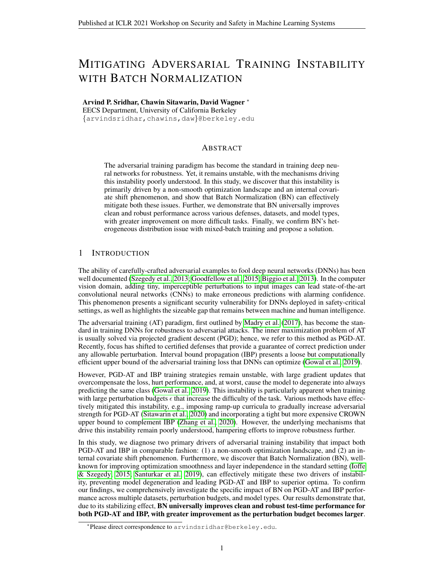<span id="page-1-0"></span>

(a) Gradient Norm (b) Max Hessian Eigenval. (c) Feature Map Mean (d) Feature Map Variance

Figure 1: (CIFAR-10) Top row: PGD-AT, bottom row: IBP. (a) Gradient norm and (b) max Hessian eigenvalue indicate smoothness of the loss landscape, and the degree of internal covariate shift is illustrated by the (c) mean and (d) variance of the deepest feature map. For (a) and (b), we overlay the exponential moving average ( $\alpha = 0.005$ ). Metrics are computed at every 10th batch of training.

Nonetheless, when AT is reformulated to jointly optimize both clean and adversarial batches, as in TRADES, we confirm prior findings that BN drives a heterogeneous distribution issue that hurts performance [\(Xie & Yuille, 2020\)](#page-5-5). We offer a hypothesis for why this issue does not impact IBP, and present a potential solution inspired by IBP's approach. Overall, we demonstrate BN's potency as a stabilizer and smoothing agent for PGD-AT and IBP training, and encourage its use for these two defense strategies; further, we offer a solution for BN's mixed distribution issue that can translate its improvements to strategies such as TRADES. We provide a detailed literature review in Appendix [A.](#page-6-0)

# 2 EXPERIMENTAL SETUP

We use the standard training frameworks for PGD-AT and IBP provided by [Madry et al.](#page-5-1) [\(2017\)](#page-5-1) and [Gowal et al.](#page-4-2) [\(2019\)](#page-4-2) respectively. For PGD-AT, we train on the pure adversarial loss, with 40-step PGD for MNIST and 10-step PGD for CIFAR-10. For IBP, we compute bounds using the layer-wise propagation rules derived by [Gowal et al.](#page-4-2) [\(2019\)](#page-4-2) and [Xu et al.](#page-5-6) [\(2020\)](#page-5-6), and use a ramp-up period to stabilize training. We experiment with the large CNN model defined by [Gowal et al.](#page-4-2) [\(2019\)](#page-4-2) (see Table [4\)](#page-9-0) and Pre-Activation ResNet-18 [\(He et al., 2016\)](#page-4-4). Please see Appendix [B](#page-9-1) for further details.

# 3 EXPERIMENTAL RESULTS

## 3.1 DRIVERS OF ADVERSARIAL TRAINING INSTABILITY

To understand the drivers of instability for PGD-AT and IBP, we visualize several metrics during training: 1) the average norm of the gradients, 2) the maximal eigenvalue of the Hessian, and 3) the distribution of the network's deepest feature map. We present our results, training on CIFAR-10  $(\epsilon_{\text{train}} = 8.8/255)$  with the large CNN model, in Figure [1.](#page-1-0) Both PGD-AT and IBP demonstrate similar trends for all three metrics. The gradient norm and maximal Hessian eigenvalue continue to rise throughout training (red curves), implying that the **optimization landscapes for both PGD**-AT and IBP are highly non-smooth. This corroborates the theoretical analysis performed by [Liu](#page-5-7) [et al.](#page-5-7) [\(2020\)](#page-5-7), that the loss surface for adversarial training lacks second-order smoothness, contains sharp local minima, and leads to large non-vanishing gradients. [Liu et al.](#page-5-7) [\(2020\)](#page-5-7) demonstrated these phenomena for PGD-AT; we confirm that IBP's loss surface exhibits similar properties. These phenomena induce large weight updates that overcompensate the loss batch-to-batch, driving instability particularly during the early training epochs. Thus, the model's generalization performance is poor.

Figure  $1(c)$  and (d) plot the change in the distribution of the feature map input to the final convolutional layer of the large CNN as training progresses. We normalize mean and variance values using z-scores to visualize the degree of distributional shift, as opposed to raw shift magnitudes. With both PGD-AT and IBP, the feature map distribution exhibits large shifts (red curves): mean and variance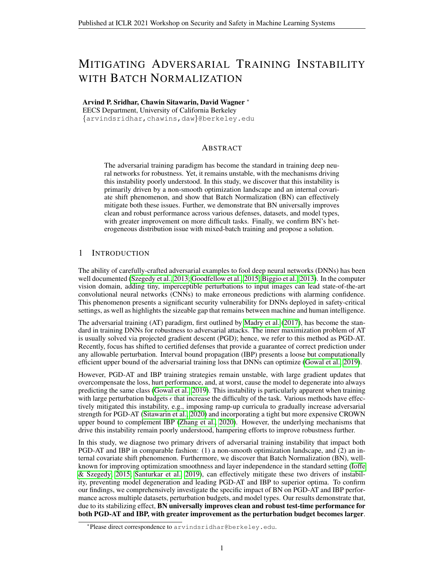<span id="page-2-0"></span>

|                |                                           |                                       | LG-CNN (PGD-AT)         |                         |                         |                         | LG-CNN-BN (PGD-AT)      |                         |  |
|----------------|-------------------------------------------|---------------------------------------|-------------------------|-------------------------|-------------------------|-------------------------|-------------------------|-------------------------|--|
| <b>Dataset</b> | train                                     | test                                  | Clean                   | <b>PGD</b>              | AA                      | Clean                   | PGD                     | AA                      |  |
| <b>MNIST</b>   | 0:2<br>0:3<br>0:4                         | 0:1<br>0:2<br>0:3                     | 99.42<br>99.40          | 98.69<br>97.34          | 98.55<br>96.91          | 99.51<br>99.44<br>99.49 | 98.93<br>97.84<br>97.33 | 98.88<br>97.45<br>94.06 |  |
| $CIFAR-10$     | $8:8 = 255$<br>$11 = 255$<br>$17:6 = 255$ | $8 = 255$<br>$10 = 255$<br>$16 = 255$ | 65.05<br>55.78<br>38.89 | 39.20<br>34.21<br>23.85 | 34.54<br>28.49<br>16.87 | 75.52<br>69.11<br>54.20 | 43.22<br>39.18<br>28.87 | 39.44<br>33.62<br>22.49 |  |

Table 1: PGD-AT performance of large CNN with/without BN for various  $\epsilon$  on MNIST and CIFAR-10. PGD column represents accuracy under 200-step PGD attack. All values denote accuracies.

oscillate significantly batch-to-batch. This indicates that, contrary to [Santurkar et al.](#page-5-4) [\(2019\)](#page-5-4)'s findings for clean training, both PGD-AT and IBP training suffer from an internal covariate shift phenomenon. Due in part to large weight updates, the distribution of inputs to deep network layers changes constantly, leaving these layers unable to learn a consistent objective and driving instability.

### 3.2 BATCH NORMALIZATION MITIGATES INSTABILITY

Adding BN to the baseline model, we observe a significant mitigation of both aforementioned drivers of instability and poor generalization for both PGD-AT and IBP. The BN model exhibits a drastically lower gradient norm and maximal Hessian eigenvalue (green curves), both of which stabilize as training progresses. This demonstrates that BN significantly improves the  $\beta$ -smoothness of the adversarial optimization landscape, leading PGD-AT and IBP to smoother minima with better generalization. Due to smaller weight updates and explicit control of feature map moments, internal covariate shift is limited as well, with the distribution of the network's deepest feature map exhibiting significantly more muted oscillations batch-to-batch. These experiments indicate that BN's known benefits [\(Ioffe & Szegedy, 2015;](#page-4-3) [Santurkar et al., 2019\)](#page-5-4) extend to the adversarial setting: BN can universally improve loss landscape smoothness and distributional consistency, mitigating instability.

## 3.3 EMPIRICAL RESULTS

We compare BN and non-BN models trained with PGD-AT and IBP to analyze BN's empirical performance benefit. Table [1](#page-2-0) presents PGD-AT training results on MNIST and CIFAR-10. In all settings, the large CNN with BN outperforms its non-BN counterpart on both clean accuracy and robustness, reinforcing our analysis that BN effectively mitigates training instability and improves generalization. Notably, for MNIST, the BN model is able to train without degenerating (as opposed to baseline) at  $\epsilon_{\text{train}} = 0.4$ , scoring **94.06% on the strong Auto-Attack (AA) benchmark** at  $\epsilon_{\text{test}} =$ 0.3 (the second highest on the leaderboard, with the highest clean accuracy) [\(Croce & Hein, 2020\)](#page-4-5).

We also present IBP training results on MNIST and CIFAR-10 in Table [2.](#page-3-0) On MNIST, the IBPtrained BN model achieves 93.38% IBP verified test accuracy, a new state of the art ( $\epsilon_{\text{test}} = 0.3$ ), outperforming the more expensive CROWN-IBP [\(Zhang et al., 2020\)](#page-5-3) by 0.4% while maintaining the same clean accuracy. On CIFAR-10, the IBP-trained BN models match the clean and robust performance of CROWN-IBP (trained with non-BN baseline), slightly outperforming at higher  $\epsilon_{\text{train}}$ . These results are significant, considering BN-IBP runs in 80% less time than CROWN-IBP (see [B.5\)](#page-10-0).

Larger Improvement for More Difficult Tasks. Tables [1](#page-2-0) and [2](#page-3-0) demonstrate that, for both PGD-AT and IBP, the BN model's performance improvement over the baseline increases as the task becomes more difficult (with larger  $\epsilon_{\text{train}}$ ). In particular, with PGD-AT on CIFAR-10, both clean and robust improvement increase as  $\epsilon_{\text{train}}$  goes up to 17.6/255; the same is seen with BN-IBP's improvement over CROWN-IBP. As  $\epsilon_{\text{train}}$  increases, training becomes more unstable: the loss landscape becomes sharper and less amenable to optimization [\(Liu et al., 2020\)](#page-5-7). BN's impact is therefore more pronounced in this setting. By smoothing the loss landscape and limiting degree of internal covariate shift, BN makes optimization significantly more straightforward and drives the model to reach superior local minima. Thus, BN effectively neutralizes the added instability of larger  $\epsilon_{\text{train}}$ .

Heterogeneous Distribution Issue with Mixed Batch Training. Training a Pre-Activation ResNet-18 (PRN-18) model with PGD-AT on CIFAR-10, we observe the same improvement trends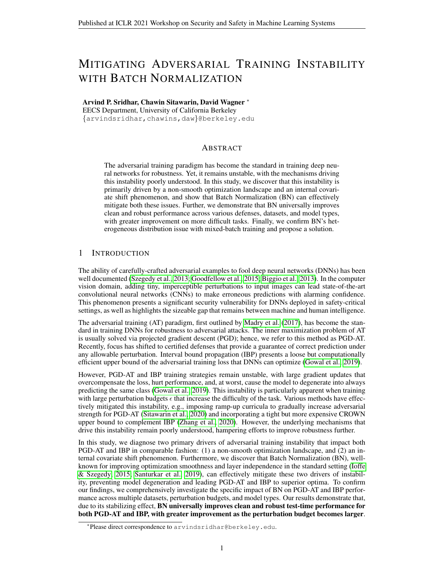<span id="page-3-0"></span>

|                |                   |                   | LG-CNN (IBP)            |                         | LG-CNN (CROWN-IBP)      |                         |                         | LG-CNN-BN (IBP)         |                         |                         |                         |
|----------------|-------------------|-------------------|-------------------------|-------------------------|-------------------------|-------------------------|-------------------------|-------------------------|-------------------------|-------------------------|-------------------------|
| <b>Dataset</b> | train             | test              | Clean                   | <b>PGD</b>              | <b>IBPV</b>             | Clean                   | <b>PGD</b>              | <b>IBPV</b>             | Clean                   | <b>PGD</b>              | <b>IBPV</b>             |
| <b>MNIST</b>   | 0:2<br>0:3<br>0:4 | 0:1<br>0:2<br>0:3 | 98.93<br>98.59<br>97.91 | 98.03<br>96.12<br>93.28 | 97.26<br>95.38<br>91.25 | 99.05<br>98.66<br>98.18 | 98.23<br>96.41<br>93.95 | 97.62<br>95.99<br>92.98 | 99.11<br>98.85<br>98.17 | 98.33<br>97.60<br>96.11 | 97.76<br>96.32<br>93.38 |
| $CIFAR-10$     | 2:2<br>8:8<br>11  | 8<br>10           | 64.24<br>46.12<br>38.59 | 52.73<br>31.24<br>27.36 | 43.34<br>25.26<br>19.74 | 69.67<br>48.47<br>40.05 | 56.09<br>33.48<br>29.09 | 47.13<br>26.50<br>23.12 | 66.89<br>48.55<br>40.85 | 55.84<br>34.83<br>30.97 | 46.21<br>27.14<br>24.35 |

<span id="page-3-1"></span>Table 2: IBP performance of large CNN{-BN} on MNIST and CIFAR-10, along with CROWN-IBP (large CNN) to compare. PGD denotes accuracy under 200-step PGD attack. IBPV denotes verified accuracy computed using IBP as the verification method. All CIFAR-10 budgets are divided by 255.

|                                    |                         | $PRN-18$ (no BN)              |                | <b>PRN-18-BN</b>        |                         |                         |  |
|------------------------------------|-------------------------|-------------------------------|----------------|-------------------------|-------------------------|-------------------------|--|
| Defense                            |                         | Clean PGD AA                  |                | Clean                   | - PGD                   | AA                      |  |
| PGD-AT<br><b>TRADES</b><br>MAT-100 | 55.84<br>67.26<br>81.07 | 29.77 21.33<br>25.84<br>24.41 | 17.34<br>16.47 | 66.44<br>70.42<br>51.34 | 34.03<br>24.24<br>23.69 | 24.26<br>17.18<br>12.46 |  |

Table 3: Performance of defenses on CIFAR-10 ( $\epsilon_{\text{train}} = \epsilon_{\text{test}} = 16/255$ ) using Pre-Act ResNet-18 (PGD is 10-step). PGD-AT outperforms with BN, continuing the trend from LG-CNN (Table [1\)](#page-2-0), but mixed distribution issue of BN hurts performance on TRADES and MAT-100 relative to baseline.

due to BN at high  $\epsilon_{\text{train}} = 16/255$  (Table [3\)](#page-3-1). Additionally, we train with TRADES [\(Zhang et al.,](#page-5-8) [2019\)](#page-5-8) and Mixed PGD-AT (MAT-100), which combines both clean and adversarial cross-entropy losses to optimize both objectives simultaneously [\(Xie et al., 2019\)](#page-5-9). Specifically, when training with MAT-100, [Xie & Yuille](#page-5-5) [\(2020\)](#page-5-5) noted a heterogeneous distribution issue with BN-infused ResNet models at large  $\epsilon_{\text{train}}$  on ImageNet. Because clean and adversarial batches follow two distinct distributions, normalizing both with a single BN layer results in BN attempting to model a mixture distribution, hurting robustness significantly compared to pure PGD-AT. We confirm that this issue exists with CIFAR-10 as well, when both clean and adversarial batches are trained on simultaneously (TRADES, MAT-100). With TRADES ( $\beta = 6$ ), BN shows little impact on performance, in contrast to PGD-AT. With MAT-100, PRN-18-BN significantly underperforms both the baseline (no BN) and PGD-AT on both clean and robust metrics, reinforcing the analysis of [Xie & Yuille](#page-5-5) [\(2020\)](#page-5-5).

# 4 CONCLUSIONS AND FUTURE DIRECTIONS

In this study, we diagnose two primary drivers of instability during adversarial training and confirm their analogous impact for both PGD-AT and IBP: a non-smooth optimization landscape and an internal covariate shift phenomenon. To this end, we demonstrate that Batch Normalization effectively mitigates both these issues and acts as a significant stabilizing influence during adversarial training, enabling better clean and robust generalization. Our conclusions are validated by empirical analysis on MNIST and CIFAR-10 datasets with both conventional and residual networks, where we show that BN universally improves performance across PGD-AT and IBP formulations. Further, we demonstrate that BN's performance improvement increases as the task becomes more difficult.

In addition, we confirm prior analysis that, when AT is reformulated to train on both clean and adversarial batches, BN drives a heterogeneous distribution issue that hurts performance. We note that IBP, which also jointly optimizes clean and robust loss, does not suffer from this mixed distribution issue. The BN propagation rule for IBP (Alg. [1\)](#page-11-0) specifies that, during training, the clean batch's moments are used to normalize the upper/lower bounds and update BN's running state. This consistency enables the model to learn how to correctly classify adversarial examples normalized with clean moments; thus, at test time, robustness is maintained. We hypothesize that this approach can translate to TRADES and MAT-100. Namely, at train time, use the moments of either the clean or adversarial batch to normalize both batches and update BN's state. The model learns how to optimize both tasks using the single normalization basis, providing consistency between train and test time and avoiding mixed distributions. We look forward to testing this hypothesis in future research.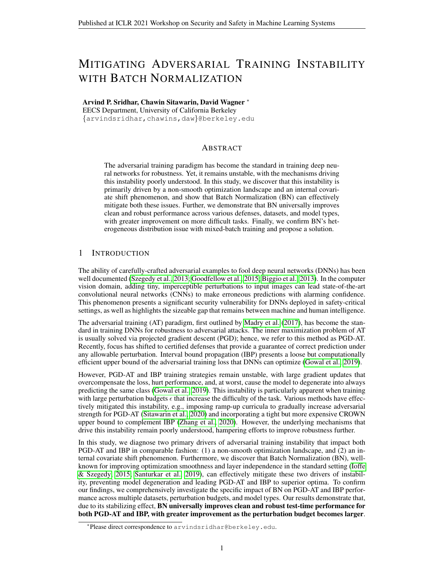#### ACKNOWLEDGEMENTS

This paper was supported by the Hewlett Foundation through the Center for Long-Term Cybersecurity, the Berkeley Deep Drive project, and gifts from Open Philanthropy, Google, and Futurewei.

#### **REFERENCES**

- <span id="page-4-8"></span>Anish Athalye, Nicholas Carlini, and David A. Wagner. Obfuscated gradients give a false sense of security: Circumventing defenses to adversarial examples. *CoRR*, abs/1802.00420, 2018. URL <http://arxiv.org/abs/1802.00420>.
- <span id="page-4-12"></span>Muhammad Awais, Fahad Shamshad, and Sung-Ho Bae. Towards an adversarially robust normalization approach. *arXiv:2006.11007 [cs, stat]*, June 2020.
- <span id="page-4-11"></span>Yoshua Bengio, Jérôme Louradour, Ronan Collobert, and Jason Weston. Curriculum learning. In *ICML*, 2009.
- <span id="page-4-13"></span>Philipp Benz, Chaoning Zhang, and In So Kweon. Batch normalization increases adversarial vulnerability: Disentangling usefulness and robustness of model features. *arXiv:2010.03316 [cs, stat]*, October 2020.
- <span id="page-4-1"></span>Battista Biggio, Igino Corona, Davide Maiorca, Blaine Nelson, Nedim Šrndić, Pavel Laskov, Giorgio Giacinto, and Fabio Roli. Evasion attacks against machine learning at test time. In Hendrik Blockeel, Kristian Kersting, Siegfried Nijssen, and Filip Železný (eds.), *Machine Learning and Knowledge Discovery in Databases*, pp. 387–402, Berlin, Heidelberg, 2013. Springer Berlin Heidelberg. ISBN 978-3-642-40994-3.
- <span id="page-4-9"></span>Pratik Chaudhari, Anna Choromanska, Stefano Soatto, Yann LeCun, Carlo Baldassi, Christian Borgs, Jennifer Chayes, Levent Sagun, and Riccardo Zecchina. Entropy-sgd: Biasing gradient descent into wide valleys. *Journal of Statistical Mechanics: Theory and Experiment*, 2019(12): 124018, 2019.
- <span id="page-4-7"></span>Minhao Cheng, Qi Lei, Pin-Yu Chen, Inderjit S. Dhillon, and Cho-Jui Hsieh. Cat: Customized adversarial training for improved robustness. *CoRR*, abs/2002.06789, 2020. URL [http://](http://arxiv.org/abs/2002.06789) [arxiv.org/abs/2002.06789](http://arxiv.org/abs/2002.06789).
- <span id="page-4-5"></span>Francesco Croce and Matthias Hein. Reliable evaluation of adversarial robustness with an ensemble of diverse parameter-free attacks. In *ICML*, 2020.
- <span id="page-4-6"></span>Gavin Weiguang Ding, Yash Sharma, Kry Yik Chau Lui, and Ruitong Huang. Mma training: Direct input space margin maximization through adversarial training. In *ICLR*, 2020. URL [https:](https://openreview.net/forum?id=HkeryxBtPB) [//openreview.net/forum?id=HkeryxBtPB](https://openreview.net/forum?id=HkeryxBtPB).
- <span id="page-4-14"></span>Angus Galloway, Anna Golubeva, Thomas Tanay, Medhat Moussa, and Graham W. Taylor. Batch normalization is a cause of adversarial vulnerability. *arXiv:1905.02161 [cs, stat]*, May 2019.
- <span id="page-4-0"></span>Ian J Goodfellow, Jonathon Shlens, and Christian Szegedy. Explaining and harnessing adversarial examples. In *ICLR*, 2015.
- <span id="page-4-2"></span>Sven Gowal, Krishnamurthy Dvijotham, Robert Stanforth, Rudy Bunel, Chongli Qin, Jonathan Uesato, Relja Arandjelovic, Timothy Mann, and Pushmeet Kohli. On the effectiveness of interval bound propagation for training verifiably robust models. *arXiv:1810.12715 [cs, stat]*, August 2019.
- <span id="page-4-4"></span>Kaiming He, Xiangyu Zhang, Shaoqing Ren, and Jian Sun. Identity mappings in deep residual networks. In *European Conference on Computer Vision*, pp. 630–645. Springer, 2016.
- <span id="page-4-3"></span>Sergey Ioffe and Christian Szegedy. Batch normalization: Accelerating deep network training by reducing internal covariate shift. In *International Conference on Machine Learning*, pp. 448–456. PMLR, 2015.
- <span id="page-4-10"></span>Nitish Shirish Keskar, Dheevatsa Mudigere, Jorge Nocedal, Mikhail Smelyanskiy, and Ping Tak Peter Tang. On large-batch training for deep learning: Generalization gap and sharp minima. *arXiv preprint arXiv:1609.04836*, 2016.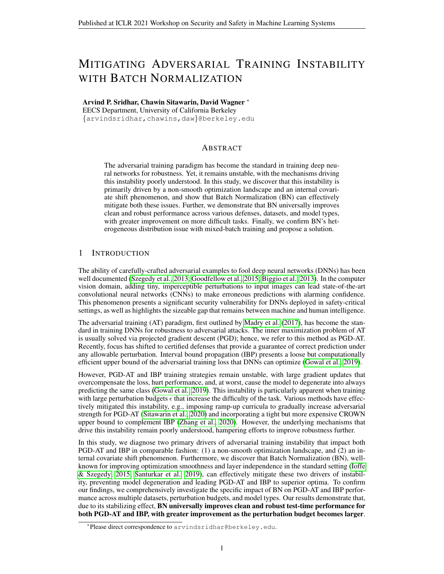- <span id="page-5-14"></span>J. Zico Kolter and Eric Wong. Provable defenses against adversarial examples via the convex outer adversarial polytope. *CoRR*, abs/1711.00851, 2017. URL [http://arxiv.org/abs/1711.](http://arxiv.org/abs/1711.00851) [00851](http://arxiv.org/abs/1711.00851).
- <span id="page-5-7"></span>Chen Liu, Mathieu Salzmann, Tao Lin, Ryota Tomioka, and Sabine Susstrunk. On the loss landscape ¨ of adversarial training: Identifying challenges and how to overcome them. In *Advances in Neural Information Processing Systems*, 2020.
- <span id="page-5-1"></span>Aleksander Madry, Aleksandar Makelov, Ludwig Schmidt, Dimitris Tsipras, and Adrian Vladu. Towards deep learning models resistant to adversarial attacks. *CoRR*, abs/1706.06083, 2017. URL <http://arxiv.org/abs/1706.06083>.
- <span id="page-5-16"></span>Roman Novak, Yasaman Bahri, Daniel A. Abolafia, Jeffrey Pennington, and Jascha Sohl-Dickstein. Sensitivity and generalization in neural networks: an empirical study, 2018.
- <span id="page-5-17"></span>Leslie Rice, Eric Wong, and J. Zico Kolter. Overfitting in adversarially robust deep learning, 2020.
- <span id="page-5-4"></span>Shibani Santurkar, Dimitris Tsipras, Andrew Ilyas, and Aleksander Madry. How does batch normalization help optimization? *arXiv:1805.11604 [cs, stat]*, April 2019.
- <span id="page-5-10"></span>Ali Shafahi, Mahyar Najibi, Mohammad Amin Ghiasi, Zheng Xu, John Dickerson, Christoph Studer, Larry S Davis, Gavin Taylor, and Tom Goldstein. Adversarial training for free! In *Advances in Neural Information Processing Systems 32*. 2019.
- <span id="page-5-2"></span>Chawin Sitawarin, Supriyo Chakraborty, and David Wagner. Improving adversarial robustness through progressive hardening. *arXiv:2003.09347 [cs, stat]*, June 2020.
- <span id="page-5-0"></span>Christian Szegedy, Wojciech Zaremba, Ilya Sutskever, Joan Bruna, Dumitru Erhan, Ian J. Goodfellow, and Rob Fergus. Intriguing properties of neural networks. *CoRR*, abs/1312.6199, 2013. URL <http://arxiv.org/abs/1312.6199>.
- <span id="page-5-13"></span>Yisen Wang, Xingjun Ma, James Bailey, Jinfeng Yi, Bowen Zhou, and Quanquan Gu. On the convergence and robustness of adversarial training. In *ICML*, 2019.
- <span id="page-5-12"></span>Yisen Wang, Difan Zou, Jinfeng Yi, James Bailey, Xingjun Ma, and Quanquan Gu. Improving adversarial robustness requires revisiting misclassified examples. In *ICLR*, 2020. URL [https:](https://openreview.net/forum?id=rklOg6EFwS) [//openreview.net/forum?id=rklOg6EFwS](https://openreview.net/forum?id=rklOg6EFwS).
- <span id="page-5-11"></span>Eric Wong, Leslie Rice, and J. Zico Kolter. Fast is better than free: Revisiting adversarial training. In *ICLR*, 2020. URL <https://openreview.net/forum?id=BJx040EFvH>.
- <span id="page-5-18"></span>Yuxin Wu and Kaiming He. Group normalization. *CoRR*, abs/1803.08494, 2018. URL [http:](http://arxiv.org/abs/1803.08494) [//arxiv.org/abs/1803.08494](http://arxiv.org/abs/1803.08494).
- <span id="page-5-5"></span>Cihang Xie and Alan Yuille. Intriguing properties of adversarial training at scale. In *International Conference on Learning Representations*, 2020. URL [https://openreview.net/forum?](https://openreview.net/forum?id=HyxJhCEFDS) [id=HyxJhCEFDS](https://openreview.net/forum?id=HyxJhCEFDS).
- <span id="page-5-9"></span>Cihang Xie, Mingxing Tan, Boqing Gong, Jiang Wang, Alan L. Yuille, and Quoc V. Le. Adversarial examples improve image recognition. *CoRR*, abs/1911.09665, 2019. URL [http://arxiv.](http://arxiv.org/abs/1911.09665) [org/abs/1911.09665](http://arxiv.org/abs/1911.09665).
- <span id="page-5-6"></span>Kaidi Xu, Zhouxing Shi, Huan Zhang, Yihan Wang, Kai-Wei Chang, Minlie Huang, Bhavya Kailkhura, Xue Lin, and Cho-Jui Hsieh. Automatic perturbation analysis for scalable certified robustness and beyond, 2020.
- <span id="page-5-8"></span>Hongyang Zhang, Yaodong Yu, Jiantao Jiao, Eric P. Xing, Laurent El Ghaoui, and Michael I. Jordan. Theoretically principled trade-off between robustness and accuracy. *CoRR*, abs/1901.08573, 2019. URL <http://arxiv.org/abs/1901.08573>.
- <span id="page-5-15"></span>Huan Zhang, Tsui-Wei Weng, Pin-Yu Chen, Cho-Jui Hsieh, and Luca Daniel. Efficient neural network robustness certification with general activation functions. In *Advances in Neural Information Processing Systems (NuerIPS)*, December 2018.
- <span id="page-5-3"></span>Huan Zhang, Hongge Chen, Chaowei Xiao, Sven Gowal, Robert Stanforth, Bo Li, Duane Boning, and Cho-Jui Hsieh. Towards stable and efficient training of verifiably robust neural networks. In *International Conference on Learning Representations*, 2020.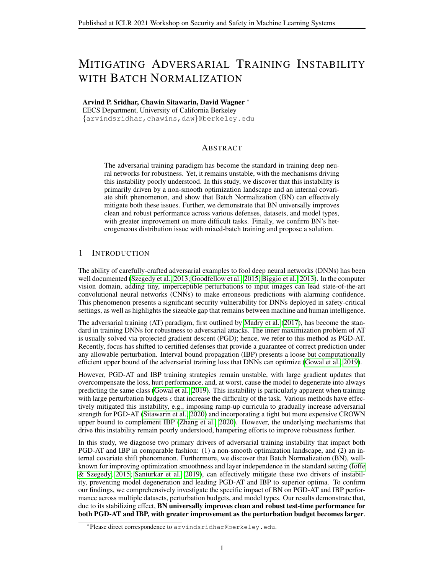## <span id="page-6-0"></span>A RELATED WORK

### A.1 ADVERSARIAL EXAMPLES

Adversarial examples in the computer vision domain are generated by adding a small perturbation δ to an input image x [\(Biggio et al., 2013;](#page-4-1) [Goodfellow et al., 2015;](#page-4-0) [Szegedy et al., 2013\)](#page-5-0). δ is typically constrained to be within some  $\ell_p$ -norm ball with a radius of  $\epsilon$ , ensuring that the perturbed image  $\dot{x} + \delta$  is perceptually "close" to  $\dot{x}$ . To compute the optimal perturbation  $\delta^*$ , the following optimization problem is solved:

<span id="page-6-1"></span>
$$
x_{\text{adv}} = x + \delta^* \quad \text{where} \quad \delta^* = \underset{\|\| \cdot \|_p \leq}{\text{arg max}} \quad L(x + \delta) \tag{1}
$$

Here,  $L : \mathbb{R}^d \to \mathbb{R}$  is the loss function of the target neural network. Projected gradient descent (PGD) is often used to iteratively optimize Eqn. [1](#page-6-1) in the white-box setting, where the attacker has access to the model's parameters [\(Madry et al., 2017\)](#page-5-1). In this study, we focus on  $\ell_{\infty}$ -norm balls.

#### A.2 ADVERSARIAL TRAINING

The popular adversarial training (AT) paradigm developed by [Madry et al.](#page-5-1) [\(2017\)](#page-5-1) involves generating  $\ell_p(\epsilon)$ -constrained loss-maximizing adversarial examples from each batch of training data via Eqn. [1,](#page-6-1) computing the expected adversarial loss over all perturbed samples  $x_{\text{adv}}$  in the batch, and training the model to minimize this loss. Mathematically, AT formulates the following saddle point optimization problem, where  $\theta$  are the parameters of the model and  $\{(x_i, y_i)\}_{i=1}^n$  the training set:

<span id="page-6-2"></span>
$$
\arg\min \frac{1}{n} \sum_{i=1}^{n} L(x_i; \theta) \tag{2}
$$

where 
$$
L(x; \theta) = \max_{\|\cdot\|_{p} \leq} L(x + \delta; \theta)
$$
 (3)

[Madry et al.](#page-5-1) [\(2017\)](#page-5-1) used multi-step PGD to compute adversarial examples (inner maximization) and standard optimizers, e.g., SGD or Adam, to train the network (outer minimization). Defining  $L$ to be the cross-entropy loss, we denote this technique as PGD-AT. Since then, several works have sought to improve PGD-AT, by reducing computation time [\(Shafahi et al., 2019;](#page-5-10) [Wong et al., 2020\)](#page-5-11), trying different loss functions to improve robustness [\(Zhang et al., 2019;](#page-5-8) [Ding et al., 2020;](#page-4-6) [Wang](#page-5-12) [et al., 2020\)](#page-5-12), and imposing a curriculum to gradually ramp-up the difficulty of computed adversarial examples and stabilize large- $\epsilon$  training [\(Sitawarin et al., 2020;](#page-5-2) [Wang et al., 2019;](#page-5-13) [Cheng et al., 2020\)](#page-4-7).

In particular, TRADES [\(Zhang et al., 2019\)](#page-5-8) maximized the KL divergence between clean and adversarial logits, as opposed to the adversarial cross-entropy loss, during PGD (inner maximization). Their training loss (outer minimization) is the following joint formulation of clean and robust loss:

<span id="page-6-3"></span>
$$
L_{\text{TRADES}} = L_{CE}(x_{\text{clean}}; y; \theta) + \beta L_{KL}(x_{\text{clean}}; x_{\text{adv}}; \theta)
$$
(4)

Here,  $L_{CE}$  denotes the cross-entropy loss,  $L_{KL}$  the KL divergence (between clean and adversarial logits),  $x_{\text{adv}}$  the KL divergence-maximizing adversarial example found via PGD, and  $\beta$  the robust loss weight.

We also define Mixed PGD-AT (MAT-100), a joint training strategy derived from PGD-AT to optimize for both clean accuracy and robustness in an equal ratio (100% clean + 100% adversarial):

$$
L_{\text{MAT-100}} = L_{CE}(x_{\text{clean}}; y; \theta) + L_{CE}(x_{\text{adv}}; y; \theta)
$$
\n(5)

We can also pre-multiply the clean cross-entropy by a weight  $\beta$ , e.g.  $\beta = 0.2$  to produce MAT-20.

#### A.3 CERTIFIED DEFENSES

Models trained with PGD-AT, while robust under strong empirical attacks [\(Croce & Hein, 2020;](#page-4-5) [Athalye et al., 2018\)](#page-4-8), lack robustness guarantees. This is due to the nonconvexity of neural networks: PGD can only compute a lower bound of the maximal robust loss  $L(x;\theta)$  for each sample, and minimizing a lower bound does not guarantee that Eqn. [2](#page-6-2) is indeed minimized [\(Zhang et al., 2020\)](#page-5-3). Specifically, there could be a valid perturbation  $\delta$  that PGD does not find, but  $x + \delta$  still incurs a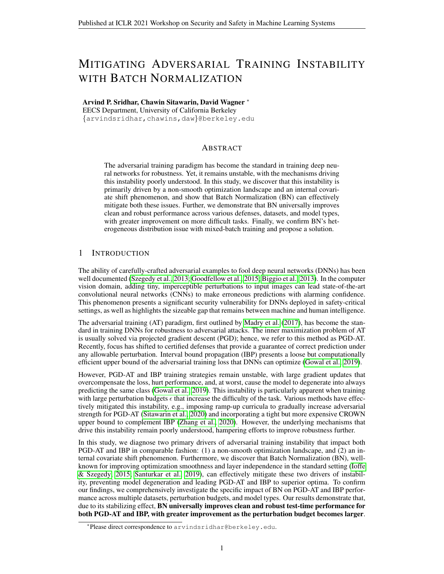high loss that is never optimized. Certified defenses seek to address this concern, using a neural network verification method to instead compute an upper bound of L  $(x; \theta)$  [\(Kolter & Wong, 2017\)](#page-5-14). Minimizing an upper bound of worst-case robust loss guarantees that Eqn. [2](#page-6-2) is minimized, ensuring that the network's prediction is correct for all valid perturbations within the norm ball. To compute this upper bound, [Kolter & Wong](#page-5-14) [\(2017\)](#page-5-14) proposed linearly relaxing the activations of the target network and propagating bounds through this convex adversarial polytope (CAP); this technique was further improved by CROWN [\(Zhang et al., 2018\)](#page-5-15). While the resulting upper bound is tight, computing this bound is quite computationally expensive, the model's clean accuracy tends to suffer, and the network tends to be over-regularized during training [\(Zhang et al., 2020\)](#page-5-3).

### A.4 INTERVAL BOUND PROPAGATION

Interval bound propagation (IBP), developed by [Gowal et al.](#page-4-2) [\(2019\)](#page-4-2), uses a simple propagation rule to derive an upper bound for robust loss L  $(x; \theta)$  in computation time equivalent to just two forward passes through the network, yielding an efficient certified defense. The resulting bound is much looser compared to other certificates, since activations are not linearized and correlations between neurons of different layers are not considered. Thus, IBP training tends to be unstable and hard to tune, especially during the initial epochs. Some of this instability can be mitigated using a ramp-up curriculum that gradually increases  $\epsilon_{\text{train}}$  and the adversarial exposure of training loss, enabling IBP to achieve state-of-the-art certified robustness with only limited sacrifice in clean accuracy [\(Gowal](#page-4-2) [et al., 2019\)](#page-4-2). CROWN-IBP [\(Zhang et al., 2020\)](#page-5-3) additionally incorporated a CROWN upper bound into the loss formulation during the initial epochs of training, tightening the initial bound and stabilizing training. When used in conjunction with a ramp-up curriculum, CROWN-IBP sets the state of the art in clean and certified robust accuracy at various  $\epsilon_{\text{test}}$  on MNIST and CIFAR-10, consistently outperforming IBP. However, computing the CROWN bound remains computationally expensive.

The IBP training loss uses a joint formulation with both clean and robust (upper-bounded) loss:

<span id="page-7-0"></span>
$$
L_{\rm IBP} = \kappa L_{\rm CE}(x; y; \theta) + (1 - \kappa) L_{\rm CE}(-\underline{m}_{\rm IBP}(x, \epsilon); y; \theta) \tag{6}
$$

Here,  $m_{\text{IBP}}$  denotes the worst-case adversarial logit vector, using the lower bound logit for class  $y_i$ that x belongs to and the upper bound logit for all other  $y_j$ . Thus, the second term is an upper bound of robust loss. IBP typically elides the last linear layer in bound propagation to improve tightness.

#### A.5 INSTABILITY DURING ADVERSARIAL TRAINING

The instability of adversarial training methods, particularly with large  $\epsilon_{\text{train}}$ , has been well documented [\(Zhang et al., 2020;](#page-5-3) [Sitawarin et al., 2020;](#page-5-2) [Liu et al., 2020\)](#page-5-7). With these more difficult tasks, training with vanilla PGD-AT and IBP (without curriculum) causes the model to degenerate into always predicting the same class. Even with smaller perturbation budgets, training can be unstable, particularly during the initial epochs of training – when large gradients and a high learning rate induce the model to make large weight updates that tend to overcompensate adversarial loss.

[Liu et al.](#page-5-7) [\(2020\)](#page-5-7) studied the loss surface of PGD-AT to understand the mechanisms driving this instability and found that larger adversarial budgets  $\epsilon$  lead to sharper minima in the loss landscape (and less smooth loss surface overall). This phenomenon, termed *gradient scattering*, causes large nonvanishing gradients to persist in the final stages of training and leaves the model unable to reach the best local minima. Specifically, [Liu et al.](#page-5-7) [\(2020\)](#page-5-7) mathematically demonstrated that the adversarial objective function lacks second-order smoothness, meaning that gradients in arbitrarily small neighborhoods in  $\theta$ -space can change discontinuously (more so with large  $\epsilon$ ). They also demonstrated that SGD on the adversarial loss is not guaranteed to converge to a critical point. These findings reinforce the empirical and theoretical evidence suggesting that smooth loss landscapes, particularly around local minima, speed up convergence of SGD and improve the network's generalization [\(Chaudhari](#page-4-9) [et al., 2019;](#page-4-9) [Keskar et al., 2016;](#page-4-10) [Novak et al., 2018\)](#page-5-16). Overall, the sharp adversarial loss landscape of PGD-AT is not favorable to optimization, and models trained with PGD-AT suffer from overfitting and are not able to generalize as well as clean-trained models [\(Rice et al., 2020\)](#page-5-17). Whether these same properties hold true for IBP certified defense training is yet to be studied.

Model size also plays a significant role in the stability of AT. [Xie & Yuille](#page-5-5) [\(2020\)](#page-5-5) found that PGD-AT requires substantially larger model capacity in order to converge. In general, larger and deeper networks consistently boost robustness; sustained improvement is observed even with models as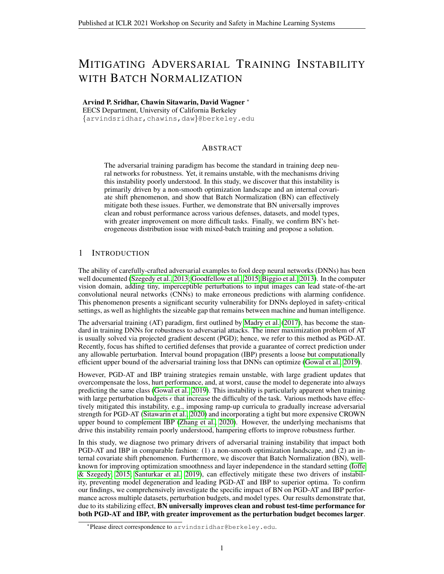deep as ResNet-638. Digging deeper, [Liu et al.](#page-5-7) [\(2020\)](#page-5-7) showed that smaller and shallower models trained with PGD-AT, especially with larger  $\epsilon$ , are more likely to have dead layers, i.e. layers in which all activated neuron outputs are zeros. This causes model degeneration, since prior layers no longer train and later layers can at best learn to predict a constant output. IBP and CROWN-IBP were also shown to perform better with larger models, presumably for the same reasons as PGD-AT.

Curriculum learning, which gradually ramps up the difficulty of the training task, has been shown to mitigate PGD-AT and IBP instability, improve the quality of found local minima, and significantly boost robustness [\(Zhang et al., 2020;](#page-5-3) [Sitawarin et al., 2020;](#page-5-2) [Liu et al., 2020\)](#page-5-7). As [Bengio et al.](#page-4-11) [\(2009\)](#page-4-11) describes, a curriculum tends to smooth the objective function, resulting in a loss landscape that is more easily optimizable. Intuitively, because ramp-up curricula in AT manipulate  $\epsilon$  either directly or indirectly, they can explicitly control the smoothness of the loss landscape at any point in time, enabling them to bias the trajectory of SGD towards smoother minima. The empirical results validate these theoretical claims, with curriculum-mediated PGD-AT and IBP algorithms significantly outperforming the vanilla methods in both clean and robust test accuracy, while also being less sensitive to initialization and choice of learning rate [\(Zhang et al., 2020;](#page-5-3) [Liu et al., 2020\)](#page-5-7).

# A.6 BATCH NORMALIZATION IN ADVERSARIAL TRAINING

Given a batch  $\{x_i\}_{i=1}^B$ , Batch Normalization performs the following normalization on each  $x_i$ :

$$
BN(x_i) = \left(\frac{x_i - \mu_B}{\sqrt{\sigma_B^2 + \epsilon}}\right)\gamma + \beta\tag{7}
$$

Here,  $\mu_B$  and  $\sigma_B^2$  denote the channel-wise mean and variance of the input batch  $\{x_i\}_{i=1}^B$ .  $\gamma$  and  $\beta$  are the trainable scale and shift parameters, respectively. At test time, the concept of a "batch" disappears; thus, BN uses running statistics  $\mu_R$  and  $\sigma_R^2$ , computed during training as an exponential moving average of the training batch moments, to normalize each  $x_i$ .

In the natural setting, BN [\(Ioffe & Szegedy, 2015\)](#page-4-3) has become a crucial component of modern state-of-the-art computer vision models, helping them train faster and optimize more effectively. BN's improvement was initially attributed to it reducing internal covariate shift (ICS) among the inputs to different layers of the network. The ICS thesis postulates that as models train and their weights change, the distribution of feature maps inputs to deep layers in the network continuously shifts; as a result, these deeper layers fruitlessly endeavor to optimize an objective that, from their perspective, is constantly changing. BN mitigates ICS by standardizing the output distribution of each layer, limiting the degree of shift batch-to-batch and enabling later layers to learn independently of changes in earlier layers. BN also has regularizing effects on the network due to the added noise of using batch statistics, improving generalization [\(Ioffe & Szegedy, 2015\)](#page-4-3).

Digging deeper, [Santurkar et al.](#page-5-4) [\(2019\)](#page-5-4) found that, more than mitigating ICS, BN increases the  $\beta$ smoothness of the optimization landscape, improving gradient predictiveness and enabling faster and more direct convergence to local minima. Specifically, BN improves the Lipschitzness of the loss function, meaning that the loss changes at a smaller rate and gradients are smaller in magnitude. This enables more stable training that is less sensitive to choice of learning rate and weight initialization. To analyze Lipschitzness and  $\beta$ -smoothness, [Santurkar et al.](#page-5-4) [\(2019\)](#page-5-4) measured the absolute and relative changes in gradient magnitude along the gradient direction as training progressed.

In our study, we perform the same analysis as [Santurkar et al.](#page-5-4) [\(2019\)](#page-5-4) in the adversarial setting. We confirm that BN's  $\beta$ -smoothness improvements extend to PGD-AT and IBP. However, contrary to [Santurkar et al.](#page-5-4) [\(2019\)](#page-5-4), we do in fact observe a non-negligible ICS phenomenon with non-BN adversarial training; further, we find that BN effectively mitigates this ICS (Figure [1\)](#page-1-0). Since AT involves a significantly more intensive and dynamic training curriculum compared to standard training, we hypothesize that batch-to-batch distributional shifts become more pronounced in this setting, compounding the adverse impacts of the sharp optimization landscape and driving further instability.

In the adversarial setting, conclusions regarding BN's impact on robustness are mixed. [Xu et al.](#page-5-6) [\(2020\)](#page-5-6) found that a seven-layered CNN model with BN after each convolution was able to outperform its non-BN counterpart as well as more complex DenseNet, WideResNet, and ResNeXt architectures when trained with CROWN-IBP on CIFAR-10 ( $\epsilon_{\text{test}} = 8/255$ ).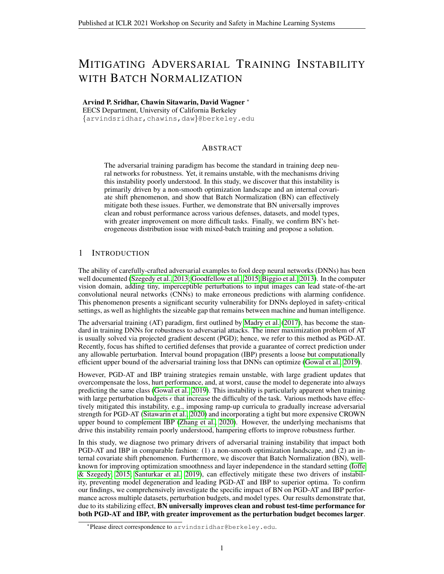By contrast, [Xie & Yuille](#page-5-5) [\(2020\)](#page-5-5) found that training a BN-infused ResNet model on ImageNet  $(\epsilon_{\text{train}} = 16/255)$  with MAT-100, which jointly optimizes clean and adversarial cross-entropy loss in the same ratio, drove a heterogeneous distribution issue with BN. Because clean and adversarial images are drawn from two different domains, it is challenging for BN to estimate normalization statistics (i.e.  $\mu_R$  and  $\sigma_R^2$ ) for this mixture distribution if both tasks are optimized concurrently. [Xie](#page-5-5) [& Yuille](#page-5-5) [\(2020\)](#page-5-5) showed that clean and adversarial input images induce significantly different feature map moment statistics at each layer, particularly for the large  $\epsilon$  on the complex ImageNet dataset. Thus, using a single BN layer led to poor, non-asymptotic robustness compared to pure PGD-AT.

To solve this issue, [Xie & Yuille](#page-5-5) [\(2020\)](#page-5-5) proposed MBN, effectively de-coupling the distribution by training separate BN layers for clean and adversarial batches. At test time, they used one set of BNs to normalize both clean and adversarial inputs. They showed that using  $MBN_{adv}$  led to asymptotic robustness on par with pure PGD-AT, and using  $MBN<sub>clean</sub>$  led to clean accuracy on par with pure clean training [\(Xie et al., 2019\)](#page-5-9). They also suggested using batch-unrelated normalization layers, such as Group Normalization [\(Wu & He, 2018\)](#page-5-18), to avoid the issue of running statistics altogether.

Other studies have echoed the same findings regarding the mixed distribution issue of BN with large perturbation budgets [\(Awais et al., 2020;](#page-4-12) [Benz et al., 2020;](#page-4-13) [Galloway et al., 2019\)](#page-4-14). However, to our knowledge, no prior work has systematically studied the impact of BN across a variety of adversarial training strategies, datasets, budgets, and model types, to identify in which cases BN helps and in which cases it hurts. We hope to fulfill this role to aid future work in this field.

# <span id="page-9-1"></span>B TRAINING DETAILS

We provide detailed descriptions of our models and training frameworks below.

### B.1 MODELS USED

<span id="page-9-0"></span>For both PGD-AT and IBP, we train with the large CNN model defined by [Gowal et al.](#page-4-2) [\(2019\)](#page-4-2) (their Table 1), a conventional CNN architecture with ReLU nonlinearities, 5 convolutional layers, and 1 fully-connected layer. This model has 17 million trainable parameters. We optimize using Adam optimizer with default parameters in PyTorch, following [Gowal et al.](#page-4-2) [\(2019\)](#page-4-2). We do not use weight decay. We train with a batch size of 100 in all cases. We also define small and medium CNNs of the same flavor, with fewer convolutional layers. Detailed architectures of all 3 models are in Table [4.](#page-9-0)

| <b>Small CNN</b>                                         | Medium CNN                                                                                                                 | Large CNN                                                                                                                                         |  |  |
|----------------------------------------------------------|----------------------------------------------------------------------------------------------------------------------------|---------------------------------------------------------------------------------------------------------------------------------------------------|--|--|
| CONV $16.4\times4+2$<br>CONV $32.4 \times 4+1$<br>FC 100 | CONV $32.3 \times 3+1$<br>CONV 32.4 $\times$ 4+2<br>CONV $64.3 \times 3+1$<br>CONV 64 $4 \times 4 + 2$<br>FC 512<br>FC 512 | CONV $64.3 \times 3+1$<br>CONV $64.3 \times 3+1$<br>CONV 128 $3 \times 3 + 2$<br>CONV 128 $3 \times 3 + 1$<br>CONV 128 $3 \times 3 + 1$<br>FC 512 |  |  |
| $#$ params: $471K$                                       | 1.2M                                                                                                                       | 17M                                                                                                                                               |  |  |

Table 4: Convolutional model architectures used for PGD-AT and IBP training. All convolutional and fully-connected layers are followed by ReLU activations. CONV K W×H+S denotes a 2D convolutional layer with k filters of size  $w \times h$  using stride s in both dimensions. FC N denotes a fullyconnected layer with n outputs. The last row contains number of trainable parameters for CIFAR-10.

We abbreviate these models as SM-CNN, MD-CNN, and LG-CNN respectively. To construct LG-CNN-BN, we add a 2D Batch Normalization layer after each convolutional layer (prior to ReLU), and a 1D Batch Normalization layer after each fully-connected layer (also prior to ReLU).

For PGD-AT on CIFAR-10, we additionally train with a Pre-Activation ResNet-18 model [\(He et al.,](#page-4-4) [2016\)](#page-4-4). We denote PRN-18 as the model with all Batch Normalization layers eliminated, and PRN-18-BN as the standard ResNet model with Batch Normalization within each PreAct block. We train with a batch size of 128 using SGD optimizer with momentum of 0.9 and weight decay of  $5 \times 10^{-4}$ .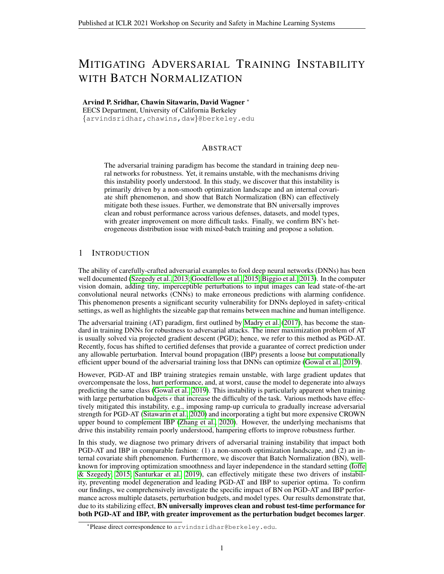### B.2 PGD-AT TRAINING FRAMEWORK

We use untargeted projected gradient descent (PGD) with uniform random initialization within the  $\epsilon$ -bounded  $\ell_{\infty}$ -ball and 1 random start (no restarts) to generate adversarial examples at training time. We train the network on the pure adversarial cross-entropy loss, as outlined by [Madry et al.](#page-5-1) [\(2017\)](#page-5-1).

**MNIST.** We train for 50 epochs using LG-CNN with/without BN. We use learning rate of  $1 \times 10^{-3}$ , decreased by factor of 10 at epochs 30 and 40. We train with  $\epsilon_{\text{train}} = 0.1 + \epsilon_{\text{test}}$  in order to maximize robustness at the target perturbation budget. We train with 40-step PGD in all cases. For  $\epsilon_{\text{train}} = 0.2$ , we use PGD step size  $\alpha = 0.01$ . For  $\epsilon_{\text{train}} = 0.3$  and  $\epsilon_{\text{train}} = 0.4$ , we use PGD step size  $\alpha = 0.02$ .

**CIFAR-10.** We train for 80 epochs. For LG-CNN, we use learning rate of  $1 \times 10^{-3}$ , decreased by factor of 10 at epochs 44 and 66. We train with  $\epsilon_{\text{train}} = 1.1 \times \epsilon_{\text{test}}$  for LG-CNN in order to maximize robustness at the target perturbation budget. For PRN-18, we use learning rate of  $5\times10^{-2}$ , decreased by factor of 10 at epochs 40, 55, and 70. We train with  $\epsilon_{\text{train}} = \epsilon_{\text{test}}$  in this case so as to follow prior convention for this model [\(Sitawarin et al., 2020\)](#page-5-2). We train with 10-step PGD in all cases. For  $\epsilon_{\text{train}} = 8.8/255$ , we use PGD step size  $\alpha = 2/255$ . For  $\epsilon_{\text{train}} = 11/255$ , we use PGD step size  $\alpha = 3/255$ . For  $\epsilon_{\text{train}} = 17.6/255$ , we use PGD step size  $\alpha = 4/255$ . We perform standard preprocessing and data augmentation: random crop, flip, and input normalization with dataset statistics.

### B.3 IBP TRAINING FRAMEWORK

We use LG-CNN with and without BN in all cases, and use the same training framework for MNIST and CIFAR-10. We train for 200 epochs with learning rate of  $5 \times 10^{-4}$ , decreased by factor of 10 at epochs 130 and 190. The first 10 epochs are clean training, with  $\epsilon_{\text{train}} = 0$  and  $\kappa = 1$ , where  $\kappa$  denotes the weight of the clean cross-entropy loss and  $1 - \kappa$  the weight of the robust loss in the IBP loss formulation (Eqn. [6\)](#page-7-0). Then, from epochs 10 to 60, we linearly decrease  $\kappa$  to 0.5 and increase  $\epsilon_{\text{train}}$  to  $\epsilon_{\text{train-final}}$ . We train with  $\epsilon_{\text{train}} = 0.1 + \epsilon_{\text{test}}$  for MNIST and  $\epsilon_{\text{train}} = 1.1 \times \epsilon_{\text{test}}$  for CIFAR-10 following prior convention for IBP [\(Zhang et al., 2020\)](#page-5-3). We perform the same standard pre-processing and data augmentation techniques (crop, flip, input normalization) for CIFAR-10. We also train with CROWN-IBP with same framework using code provided by [Zhang et al.](#page-5-3) [\(2020\)](#page-5-3).

#### B.4 OTHER FRAMEWORKS

For TRADES, we use the same training framework as PGD-AT with the PRN-18 model on CIFAR-10. We use  $\beta = 6$  as the weight for the robust loss in the TRADES loss formulation (Eqn. [4\)](#page-6-3). For MAT-100, we again use the same training framework as PGD-AT with PRN-18 on CIFAR-10.

For all training runs, we perform early stopping, in that we only save the model with the best sum of clean and robust accuracy on a hold-out validation set (separately given for MNIST, randomly chosen from 10% of training samples for CIFAR-10). We then evaluate this best model on the test set, corresponding to our results in Tables [1,](#page-2-0) [2,](#page-3-0) and [3.](#page-3-1) For Auto-Attack [\(Croce & Hein, 2020\)](#page-4-5), we use the standard attack mechanism (APGD-CE, APGD-T, FAB-T, and Square) with default parameters.

In Figure [1,](#page-1-0) we compute all metrics with every 10th training batch. For the gradient norm, we compute the average norm of all gradients at that batch, plotting the result with its exponential moving average. We also compute the maximum eigenvalue of the Hessian matrix at this batch, using the PyHessian package. For the internal covariate shift studies, we compute the channel-wise feature map mean and variance across the entire batch, and average the moments across all channels. We then standardize each metric curve using z-scores. Specifically, we compute the average value of all points on that curve, as well as the standard deviation of the points, and standardize via  $(x-\mu)/\sigma$ for all points on the curve. This enables us to gauge the degree of batch-to-batch shift in these feature map moments on a percentage basis, providing a fair comparison for internal covariate shift analysis.

#### <span id="page-10-0"></span>B.5 TRAINING INFRASTRUCTURE AND RUNTIMES

All of our code is written in PyTorch, and we train all our models on a server with 1 NVIDIA Tesla V100 GPU, 2 CPU cores, and 13 GB memory. With this setup, PGD-AT training with LG-CNN{- BN} takes about 45 minutes on MNIST and 1 hour on CIFAR-10. PGD-AT with PRN-18{-BN} on CIFAR-10 takes about 3 hours, MAT-100 takes 3.5 hours, and TRADES takes 4 hours.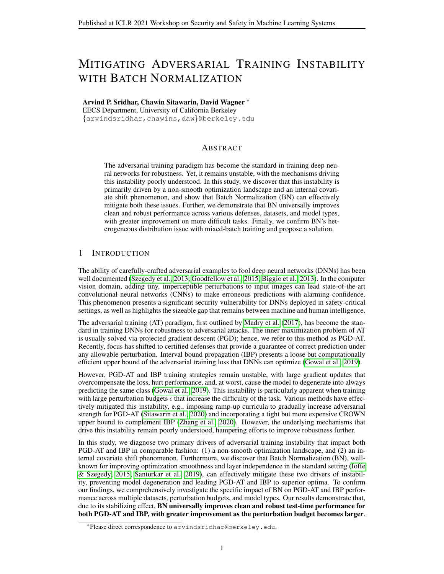For IBP with LG-CNN{-BN}, MNIST takes about 1 hour and CIFAR-10 takes about 1.2 hours. By contrast, CROWN-IBP with LG-CNN, using the publicly-available code from [Zhang et al.](#page-5-3) [\(2020\)](#page-5-3), takes 4.6 hours on MNIST and 5.4 hours on CIFAR-10 with the same training framework and infrastructure setup. Thus, having LG-CNN-BN trained with IBP match the performance of, and at times outperform, CROWN-IBP (Table [2\)](#page-3-0) in a fraction of the training time is a significant result.

# C BATCH NORMALIZATION PROPAGATION RULE

We outline the IBP propagation rule for Batch Normalization in Algorithm [1.](#page-11-0) This is the same rule defined by [Xu et al.](#page-5-6) [\(2020\)](#page-5-6) to propagate the clean map as well as upper/lower bounds through BN.

Algorithm 1: IBP Propagation Rule for BN **Input** : Feature map and bounds  $z^{(l)}$ ,  $\underline{z}^{(l)}$ ,  $\overline{z}^{(l)}$ **Output** : Normalized feature map and bounds, in the same order as input **Parameters:** Layer parameters  $\gamma$ ,  $\beta$ ,  $\mu_{\mathcal{R}}$ ,  $\sigma_{\mathcal{R}}^2$  $\mu \leftarrow$  batch-mean $(z^{(l)})$  if train-mode else  $\mu_{\mathcal{R}}$ ; 2  $\sigma^2 \leftarrow$  batch-variance $(z^{(l)})$  if train-mode else  $\sigma^2_{\mathcal{R}}$ ;  $3 \leq (0 \leftarrow (\leq^{(1)} - \mu)/\sqrt{\sigma^2 + \epsilon_{\text{layer}}};$  $4 \overline{z}^{(l)} \leftarrow (\overline{z}^{(l)} - \mu) / \sqrt{\sigma^2 + \epsilon_{\text{layer}}};$  $\sigma$   $m_p \leftarrow \gamma (\bar{z}^{(l)} + \underline{z}^{(l)})/2 + \beta;$ 6  $d_p \leftarrow |\gamma| (\overline{z}^{(l)} - \underline{z}^{(l)})/2;$  $\tau z^{(l)} \leftarrow \gamma \big[ (z^{(l)} - \mu) / \sqrt{\sigma^2 + \epsilon_{\text{layer}}} \big] + \beta;$ <sup>8</sup> if train-mode then 9 | update-running-statistics $(\mu, \sigma^2, \text{momentum})$ ; <sup>10</sup> end 11 **return**  $z^{(l)}$ ,  $(m_p - d_p)$ ,  $(m_p + d_p)$ ;

# <span id="page-11-0"></span>D ADDITIONAL RESULTS

### D.1 INVESTIGATING MODEL SIZE AND BATCH NORMALIZATION IMPACT: PGD-AT

<span id="page-11-1"></span>We investigate the differences in the impact of BN with the small, medium, and large CNN models defined in Table [4.](#page-9-0) For PGD-AT, we experiment with MNIST at  $\epsilon_{\text{train}} = 0.3$  and  $\epsilon_{\text{test}} = 0.2$ ; our results are in Table [5.](#page-11-1) Intriguingly, BN's improvement is largest for the small CNN model, causing robustness to jump over 4%. The medium CNN exhibits the next largest improvement, while the large CNN exhibits the smallest relative improvement. Intuitively, smaller models are more sensitive to smoothness of loss surface, as a non-smooth loss surface can quickly lead to degeneration [\(Liu](#page-5-7) [et al., 2020\)](#page-5-7). As a result, BN's stabilizing influence is most acutely felt at the small CNN level.

|                                |                | No BN (PGD-AT) | With BN (PGD-AT) |                |  |
|--------------------------------|----------------|----------------|------------------|----------------|--|
| Model                          | Clean          | PGD            | Clean            | <b>PGD</b>     |  |
| <b>SM-CNN</b><br><b>MD-CNN</b> | 97.51<br>99.32 | 92.90<br>97.32 | 99.30<br>99.43   | 97.04<br>97.76 |  |
| LG-CNN                         | 99.40          | 97.34          | 99.44            | 97.84          |  |

Table 5: PGD-AT performance of various model sizes with/without BN on MNIST ( $\epsilon_{\text{train}} = 0.3$ ,  $\epsilon_{\text{test}} = 0.2$ ). PGD column represents accuracy under 200-step PGD attack.

D.2 INVESTIGATING MODEL SIZE AND BATCH NORMALIZATION IMPACT: IBP

For IBP, we experiment with MNIST at  $\epsilon_{\text{train}} = 0.4$  and  $\epsilon_{\text{test}} = 0.3$ ; our results are in Table [6.](#page-12-0) Similar to PGD-AT, the small CNN has the greatest PGD and IBP verified robustness improvement with BN,